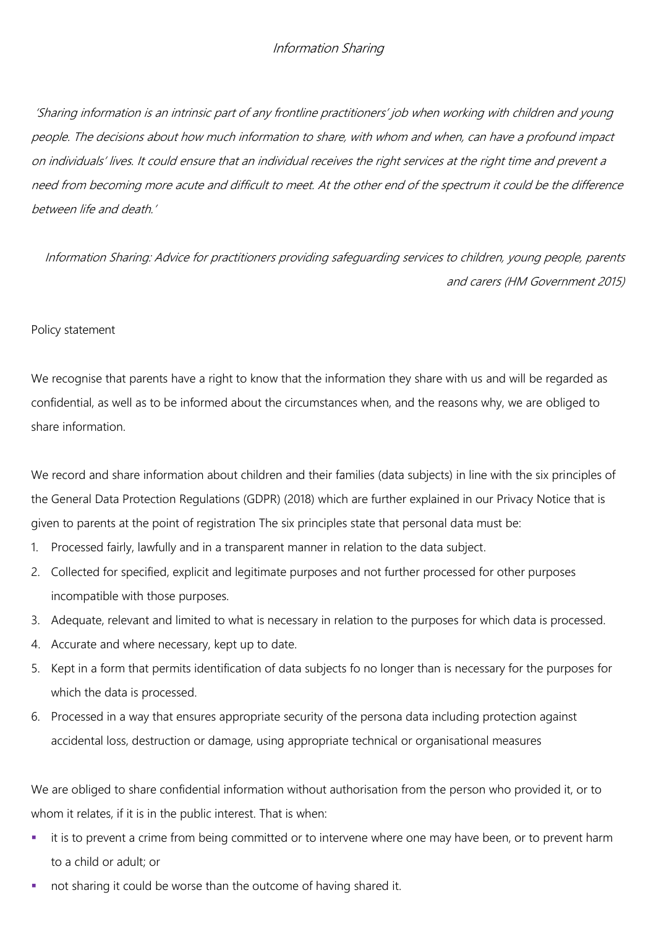'Sharing information is an intrinsic part of any frontline practitioners' job when working with children and young people. The decisions about how much information to share, with whom and when, can have a profound impact on individuals' lives. It could ensure that an individual receives the right services at the right time and prevent a need from becoming more acute and difficult to meet. At the other end of the spectrum it could be the difference between life and death.'

Information Sharing: Advice for practitioners providing safeguarding services to children, young people, parents and carers (HM Government 2015)

### Policy statement

We recognise that parents have a right to know that the information they share with us and will be regarded as confidential, as well as to be informed about the circumstances when, and the reasons why, we are obliged to share information.

We record and share information about children and their families (data subjects) in line with the six principles of the General Data Protection Regulations (GDPR) (2018) which are further explained in our Privacy Notice that is given to parents at the point of registration The six principles state that personal data must be:

- 1. Processed fairly, lawfully and in a transparent manner in relation to the data subject.
- 2. Collected for specified, explicit and legitimate purposes and not further processed for other purposes incompatible with those purposes.
- 3. Adequate, relevant and limited to what is necessary in relation to the purposes for which data is processed.
- 4. Accurate and where necessary, kept up to date.
- 5. Kept in a form that permits identification of data subjects fo no longer than is necessary for the purposes for which the data is processed.
- 6. Processed in a way that ensures appropriate security of the persona data including protection against accidental loss, destruction or damage, using appropriate technical or organisational measures

We are obliged to share confidential information without authorisation from the person who provided it, or to whom it relates, if it is in the public interest. That is when:

- it is to prevent a crime from being committed or to intervene where one may have been, or to prevent harm to a child or adult; or
- not sharing it could be worse than the outcome of having shared it.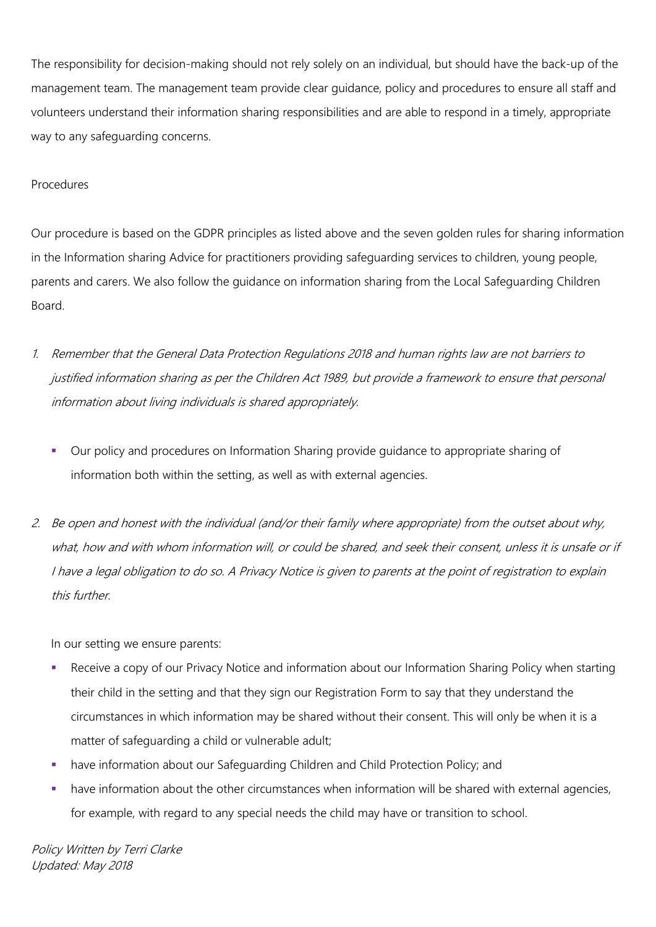The responsibility for decision-making should not rely solely on an individual, but should have the back-up of the management team. The management team provide clear guidance, policy and procedures to ensure all staff and volunteers understand their information sharing responsibilities and are able to respond in a timely, appropriate way to any safeguarding concerns.

### Procedures

Our procedure is based on the GDPR principles as listed above and the seven golden rules for sharing information in the Information sharing Advice for practitioners providing safeguarding services to children, young people, parents and carers. We also follow the guidance on information sharing from the Local Safeguarding Children Board.

- 1. Remember that the General Data Protection Regulations 2018 and human rights law are not barriers to justified information sharing as per the Children Act 1989, but provide a framework to ensure that personal information about living individuals is shared appropriately.
	- Our policy and procedures on Information Sharing provide guidance to appropriate sharing of information both within the setting, as well as with external agencies.
- 2. Be open and honest with the individual (and/or their family where appropriate) from the outset about why, what, how and with whom information will, or could be shared, and seek their consent, unless it is unsafe or if I have a legal obligation to do so. A Privacy Notice is given to parents at the point of registration to explain this further.

In our setting we ensure parents:

- Receive a copy of our Privacy Notice and information about our Information Sharing Policy when starting their child in the setting and that they sign our Registration Form to say that they understand the circumstances in which information may be shared without their consent. This will only be when it is a matter of safeguarding a child or vulnerable adult;
- have information about our Safeguarding Children and Child Protection Policy; and
- have information about the other circumstances when information will be shared with external agencies, for example, with regard to any special needs the child may have or transition to school.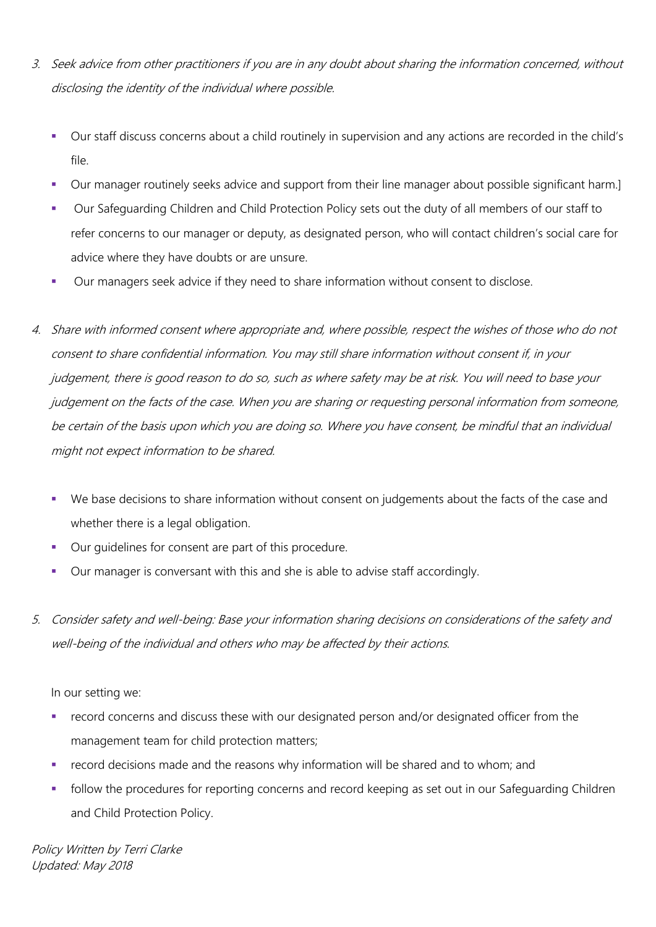- 3. Seek advice from other practitioners if you are in any doubt about sharing the information concerned, without disclosing the identity of the individual where possible.
	- Our staff discuss concerns about a child routinely in supervision and any actions are recorded in the child's file.
	- Our manager routinely seeks advice and support from their line manager about possible significant harm.]
	- Our Safeguarding Children and Child Protection Policy sets out the duty of all members of our staff to refer concerns to our manager or deputy, as designated person, who will contact children's social care for advice where they have doubts or are unsure.
	- Our managers seek advice if they need to share information without consent to disclose.
- 4. Share with informed consent where appropriate and, where possible, respect the wishes of those who do not consent to share confidential information. You may still share information without consent if, in your judgement, there is good reason to do so, such as where safety may be at risk. You will need to base your judgement on the facts of the case. When you are sharing or requesting personal information from someone, be certain of the basis upon which you are doing so. Where you have consent, be mindful that an individual might not expect information to be shared.
	- We base decisions to share information without consent on judgements about the facts of the case and whether there is a legal obligation.
	- Our guidelines for consent are part of this procedure.
	- Our manager is conversant with this and she is able to advise staff accordingly.
- 5. Consider safety and well-being: Base your information sharing decisions on considerations of the safety and well-being of the individual and others who may be affected by their actions.

In our setting we:

- record concerns and discuss these with our designated person and/or designated officer from the management team for child protection matters;
- record decisions made and the reasons why information will be shared and to whom; and
- follow the procedures for reporting concerns and record keeping as set out in our Safeguarding Children and Child Protection Policy.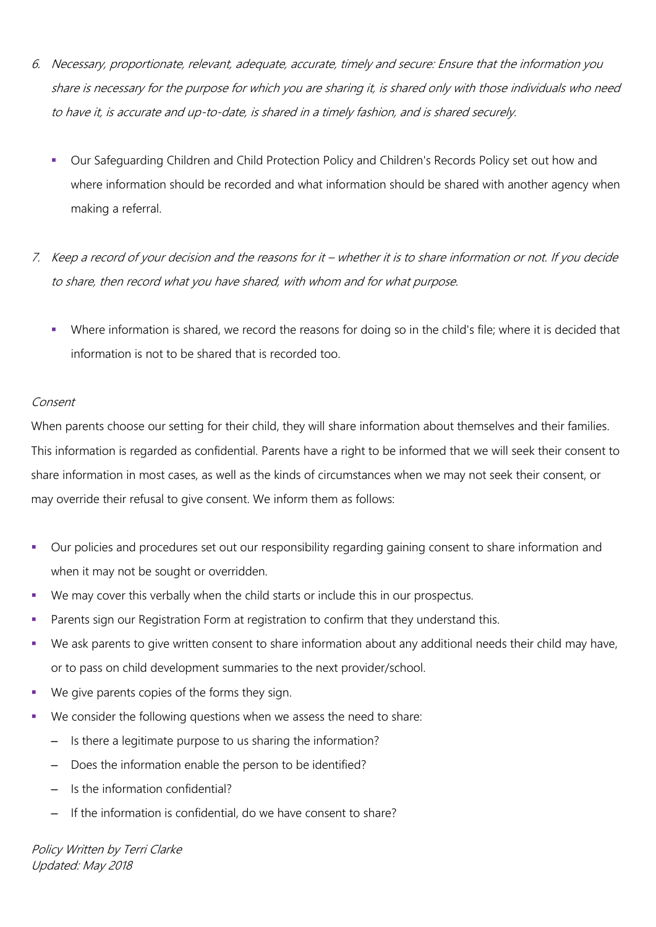- 6. Necessary, proportionate, relevant, adequate, accurate, timely and secure: Ensure that the information you share is necessary for the purpose for which you are sharing it, is shared only with those individuals who need to have it, is accurate and up-to-date, is shared in a timely fashion, and is shared securely.
	- Our Safeguarding Children and Child Protection Policy and Children's Records Policy set out how and where information should be recorded and what information should be shared with another agency when making a referral.
- 7. Keep a record of your decision and the reasons for it whether it is to share information or not. If you decide to share, then record what you have shared, with whom and for what purpose.
	- Where information is shared, we record the reasons for doing so in the child's file; where it is decided that information is not to be shared that is recorded too.

### Consent

When parents choose our setting for their child, they will share information about themselves and their families. This information is regarded as confidential. Parents have a right to be informed that we will seek their consent to share information in most cases, as well as the kinds of circumstances when we may not seek their consent, or may override their refusal to give consent. We inform them as follows:

- Our policies and procedures set out our responsibility regarding gaining consent to share information and when it may not be sought or overridden.
- We may cover this verbally when the child starts or include this in our prospectus.
- Parents sign our Registration Form at registration to confirm that they understand this.
- We ask parents to give written consent to share information about any additional needs their child may have, or to pass on child development summaries to the next provider/school.
- We give parents copies of the forms they sign.
- We consider the following questions when we assess the need to share:
	- Is there a legitimate purpose to us sharing the information?
	- Does the information enable the person to be identified?
	- Is the information confidential?
	- If the information is confidential, do we have consent to share?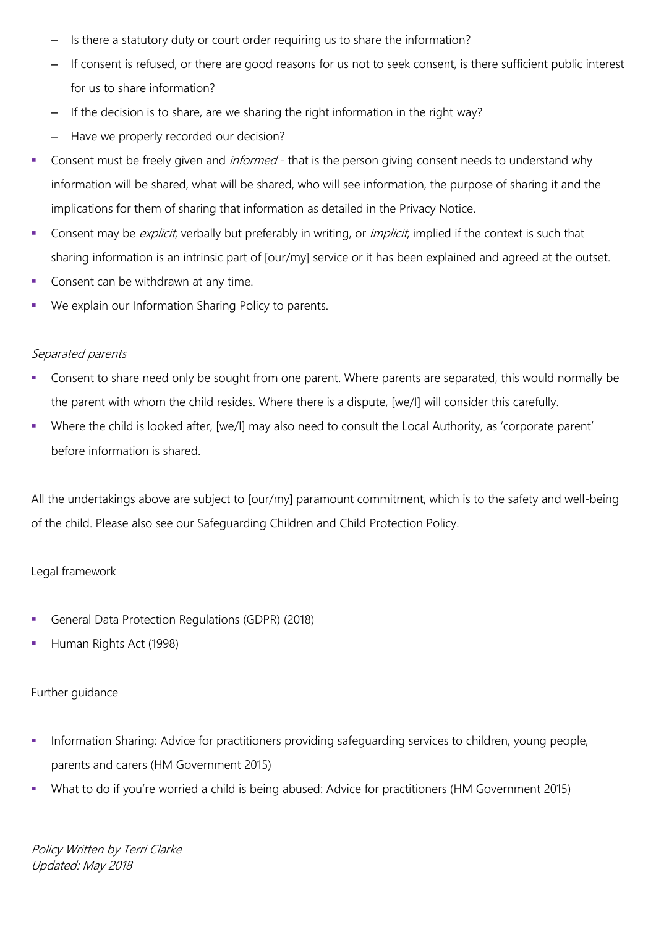- Is there a statutory duty or court order requiring us to share the information?
- If consent is refused, or there are good reasons for us not to seek consent, is there sufficient public interest for us to share information?
- If the decision is to share, are we sharing the right information in the right way?
- Have we properly recorded our decision?
- Consent must be freely given and *informed* that is the person giving consent needs to understand why information will be shared, what will be shared, who will see information, the purpose of sharing it and the implications for them of sharing that information as detailed in the Privacy Notice.
- Consent may be explicit, verbally but preferably in writing, or *implicit*, implied if the context is such that sharing information is an intrinsic part of [our/my] service or it has been explained and agreed at the outset.
- Consent can be withdrawn at any time.
- We explain our Information Sharing Policy to parents.

# Separated parents

- Consent to share need only be sought from one parent. Where parents are separated, this would normally be the parent with whom the child resides. Where there is a dispute, [we/I] will consider this carefully.
- Where the child is looked after, [we/I] may also need to consult the Local Authority, as 'corporate parent' before information is shared.

All the undertakings above are subject to [our/my] paramount commitment, which is to the safety and well-being of the child. Please also see our Safeguarding Children and Child Protection Policy.

# Legal framework

- General Data Protection Regulations (GDPR) (2018)
- Human Rights Act (1998)

# Further guidance

- **Information Sharing: Advice for practitioners providing safeguarding services to children, young people,** parents and carers (HM Government 2015)
- What to do if you're worried a child is being abused: Advice for practitioners (HM Government 2015)